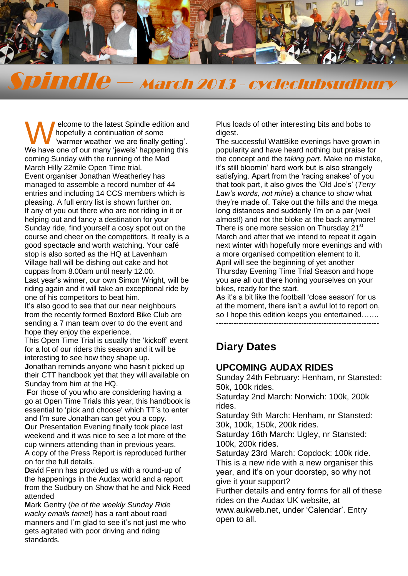

# Spindle – March 2013 - cycleclubsudbury

elcome to the latest Spindle edition and hopefully a continuation of some 'warmer weather' we are finally getting'. Welcome to the latest Spindle edition and<br>
hopefully a continuation of some<br>
we have one of our many 'jewels' happening this coming Sunday with the running of the Mad March Hilly 22mile Open Time trial. Event organiser Jonathan Weatherley has managed to assemble a record number of 44 entries and including 14 CCS members which is pleasing. A full entry list is shown further on. If any of you out there who are not riding in it or helping out and fancy a destination for your Sunday ride, find yourself a cosy spot out on the course and cheer on the competitors. It really is a good spectacle and worth watching. Your café stop is also sorted as the HQ at Lavenham Village hall will be dishing out cake and hot cuppas from 8.00am until nearly 12.00. Last year's winner, our own Simon Wright, will be riding again and it will take an exceptional ride by one of his competitors to beat him.

It's also good to see that our near neighbours from the recently formed Boxford Bike Club are sending a 7 man team over to do the event and hope they enjoy the experience.

This Open Time Trial is usually the 'kickoff' event for a lot of our riders this season and it will be interesting to see how they shape up.

**J**onathan reminds anyone who hasn't picked up their CTT handbook yet that they will available on Sunday from him at the HQ.

**F**or those of you who are considering having a go at Open Time Trials this year, this handbook is essential to 'pick and choose' which TT's to enter and I'm sure Jonathan can get you a copy. **O**ur Presentation Evening finally took place last weekend and it was nice to see a lot more of the cup winners attending than in previous years. A copy of the Press Report is reproduced further on for the full details.

**D**avid Fenn has provided us with a round-up of the happenings in the Audax world and a report from the Sudbury on Show that he and Nick Reed attended

**M**ark Gentry (*he of the weekly Sunday Ride wacky emails fame*!) has a rant about road manners and I'm glad to see it's not just me who gets agitated with poor driving and riding standards.

Plus loads of other interesting bits and bobs to digest.

**T**he successful WattBike evenings have grown in popularity and have heard nothing but praise for the concept and the *taking part*. Make no mistake, it's still bloomin' hard work but is also strangely satisfying. Apart from the 'racing snakes' of you that took part, it also gives the 'Old Joe's' (*Terry Law's words, not mine*) a chance to show what they're made of. Take out the hills and the mega long distances and suddenly I'm on a par (well almost!) and not the bloke at the back anymore! There is one more session on Thursday 21<sup>st</sup> March and after that we intend to repeat it again next winter with hopefully more evenings and with a more organised competition element to it. **A**pril will see the beginning of yet another Thursday Evening Time Trial Season and hope you are all out there honing yourselves on your bikes, ready for the start.

**A**s it's a bit like the football 'close season' for us at the moment, there isn't a awful lot to report on, so I hope this edition keeps you entertained……. -----------------------------------------------------------------

## **Diary Dates**

## **UPCOMING AUDAX RIDES**

Sunday 24th February: Henham, nr Stansted: 50k, 100k rides.

Saturday 2nd March: Norwich: 100k, 200k rides.

Saturday 9th March: Henham, nr Stansted: 30k, 100k, 150k, 200k rides.

Saturday 16th March: Ugley, nr Stansted: 100k, 200k rides.

Saturday 23rd March: Copdock: 100k ride. This is a new ride with a new organiser this year, and it's on your doorstep, so why not give it your support?

Further details and entry forms for all of these rides on the Audax UK website, at

[www.aukweb.net,](http://www.aukweb.net/index2.htm) under 'Calendar'. Entry open to all.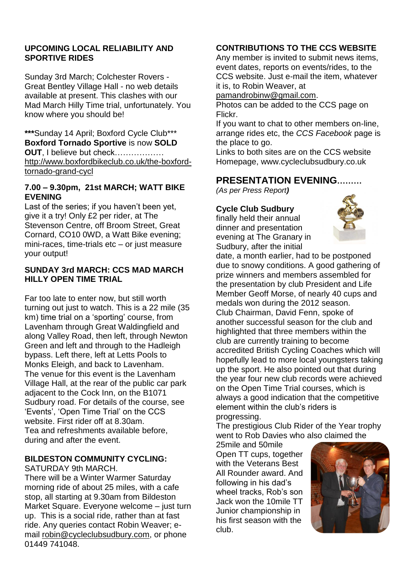## **UPCOMING LOCAL RELIABILITY AND SPORTIVE RIDES**

Sunday 3rd March; Colchester Rovers - Great Bentley Village Hall - no web details available at present. This clashes with our Mad March Hilly Time trial, unfortunately. You know where you should be!

**\*\*\***Sunday 14 April; Boxford Cycle Club\*\*\* **Boxford Tornado Sportive** is now **SOLD OUT**, I believe but check……………… [http://www.boxfordbikeclub.co.uk/the-boxford](http://www.boxfordbikeclub.co.uk/the-boxford-tornado-grand-cycl)[tornado-grand-cycl](http://www.boxfordbikeclub.co.uk/the-boxford-tornado-grand-cycl)

## **7.00 – 9.30pm, 21st MARCH; WATT BIKE EVENING**

Last of the series; if you haven't been yet, give it a try! Only £2 per rider, at The Stevenson Centre, off Broom Street, Great Cornard, CO10 0WD, a Watt Bike evening; mini-races, time-trials etc – or just measure your output!

## **SUNDAY 3rd MARCH: CCS MAD MARCH HILLY OPEN TIME TRIAL**

Far too late to enter now, but still worth turning out just to watch. This is a 22 mile (35 km) time trial on a 'sporting' course, from Lavenham through Great Waldingfield and along Valley Road, then left, through Newton Green and left and through to the Hadleigh bypass. Left there, left at Letts Pools to Monks Eleigh, and back to Lavenham. The venue for this event is the Lavenham Village Hall, at the rear of the public car park adjacent to the Cock Inn, on the B1071 Sudbury road. For details of the course, see 'Events', 'Open Time Trial' on the CCS website. First rider off at 8.30am. Tea and refreshments available before, during and after the event.

## **BILDESTON COMMUNITY CYCLING:**

SATURDAY 9th MARCH.

There will be a Winter Warmer Saturday morning ride of about 25 miles, with a cafe stop, all starting at 9.30am from Bildeston Market Square. Everyone welcome – just turn up. This is a social ride, rather than at fast ride. Any queries contact Robin Weaver; email [robin@cycleclubsudbury.com,](mailto:robin@cycleclubsudbury.com) or phone 01449 741048.

## **CONTRIBUTIONS TO THE CCS WEBSITE**

Any member is invited to submit news items, event dates, reports on events/rides, to the CCS website. Just e-mail the item, whatever it is, to Robin Weaver, at

[pamandrobinw@gmail.com.](mailto:pamandrobinw@gmail.com)

Photos can be added to the CCS page on Flickr.

If you want to chat to other members on-line, arrange rides etc, the *CCS Facebook* page is the place to go.

Links to both sites are on the CCS website Homepage, www.cycleclubsudbury.co.uk

## **PRESENTATION EVENING………**

*(As per Press Report)*

## **Cycle Club Sudbury**

finally held their annual dinner and presentation evening at The Granary in Sudbury, after the initial



date, a month earlier, had to be postponed due to snowy conditions. A good gathering of prize winners and members assembled for the presentation by club President and Life Member Geoff Morse, of nearly 40 cups and medals won during the 2012 season. Club Chairman, David Fenn, spoke of another successful season for the club and highlighted that three members within the club are currently training to become accredited British Cycling Coaches which will hopefully lead to more local youngsters taking up the sport. He also pointed out that during the year four new club records were achieved on the Open Time Trial courses, which is always a good indication that the competitive element within the club's riders is progressing.

The prestigious Club Rider of the Year trophy went to Rob Davies who also claimed the

25mile and 50mile Open TT cups, together with the Veterans Best All Rounder award. And following in his dad's wheel tracks, Rob's son Jack won the 10mile TT Junior championship in his first season with the club.

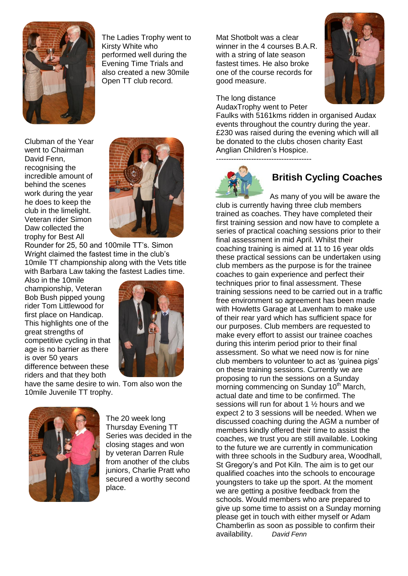

The Ladies Trophy went to Kirsty White who performed well during the Evening Time Trials and also created a new 30mile Open TT club record.

Clubman of the Year went to Chairman David Fenn, recognising the incredible amount of behind the scenes work during the year he does to keep the club in the limelight. Veteran rider Simon Daw collected the trophy for Best All



Rounder for 25, 50 and 100mile TT's. Simon Wright claimed the fastest time in the club's 10mile TT championship along with the Vets title with Barbara Law taking the fastest Ladies time.

Also in the 10mile championship, Veteran Bob Bush pipped young rider Tom Littlewood for first place on Handicap. This highlights one of the great strengths of competitive cycling in that age is no barrier as there is over 50 years difference between these riders and that they both



have the same desire to win. Tom also won the 10mile Juvenile TT trophy.



The 20 week long Thursday Evening TT Series was decided in the closing stages and won by veteran Darren Rule from another of the clubs juniors, Charlie Pratt who secured a worthy second place.

Mat Shotbolt was a clear winner in the 4 courses B.A.R. with a string of late season fastest times. He also broke one of the course records for good measure.

The long distance AudaxTrophy went to Peter



Faulks with 5161kms ridden in organised Audax events throughout the country during the year. £230 was raised during the evening which will all be donated to the clubs chosen charity East Anglian Children's Hospice.

--------------------------------------



## **British Cycling Coaches**

As many of you will be aware the club is currently having three club members trained as coaches. They have completed their first training session and now have to complete a series of practical coaching sessions prior to their final assessment in mid April. Whilst their coaching training is aimed at 11 to 16 year olds these practical sessions can be undertaken using club members as the purpose is for the trainee coaches to gain experience and perfect their techniques prior to final assessment. These training sessions need to be carried out in a traffic free environment so agreement has been made with Howletts Garage at Lavenham to make use of their rear yard which has sufficient space for our purposes. Club members are requested to make every effort to assist our trainee coaches during this interim period prior to their final assessment. So what we need now is for nine club members to volunteer to act as 'guinea pigs' on these training sessions. Currently we are proposing to run the sessions on a Sunday morning commencing on Sunday 10<sup>th</sup> March, actual date and time to be confirmed. The sessions will run for about 1 ½ hours and we expect 2 to 3 sessions will be needed. When we discussed coaching during the AGM a number of members kindly offered their time to assist the coaches, we trust you are still available. Looking to the future we are currently in communication with three schools in the Sudbury area, Woodhall, St Gregory's and Pot Kiln. The aim is to get our qualified coaches into the schools to encourage youngsters to take up the sport. At the moment we are getting a positive feedback from the schools. Would members who are prepared to give up some time to assist on a Sunday morning please get in touch with either myself or Adam Chamberlin as soon as possible to confirm their availability. *David Fenn*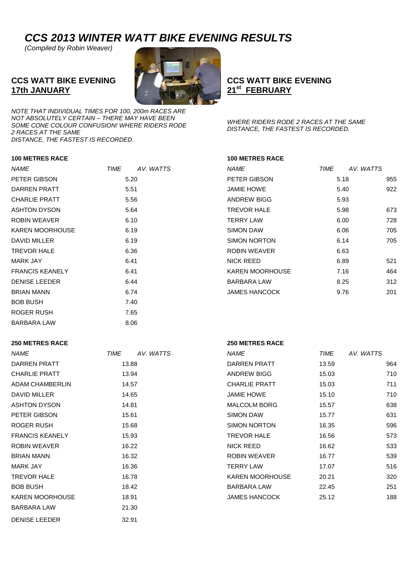## *CCS 2013 WINTER WATT BIKE EVENING RESULTS*

*(Compiled by Robin Weaver)*

## **CCS WATT BIKE EVENING 17th JANUARY**



*NOTE THAT INDIVIDUAL TIMES FOR 100, 200m RACES ARE NOT ABSOLUTELY CERTAIN – THERE MAY HAVE BEEN SOME CONE COLOUR CONFUSION! WHERE RIDERS RODE 2 RACES AT THE SAME DISTANCE, THE FASTEST IS RECORDED.*

### **100 METRES RACE 100 METRES RACE**

| <b>NAME</b>            | AV. WATTS<br>TIME | NAME                   | <b>TIME</b> |
|------------------------|-------------------|------------------------|-------------|
| PETER GIBSON           | 5.20              | PETER GIBSON           | 5.18        |
| DARREN PRATT           | 5.51              | <b>JAMIE HOWE</b>      | 5.40        |
| <b>CHARLIE PRATT</b>   | 5.56              | <b>ANDREW BIGG</b>     | 5.93        |
| <b>ASHTON DYSON</b>    | 5.64              | <b>TREVOR HALE</b>     | 5.98        |
| <b>ROBIN WEAVER</b>    | 6.10              | <b>TERRY LAW</b>       | 6.00        |
| <b>KAREN MOORHOUSE</b> | 6.19              | <b>SIMON DAW</b>       | 6.06        |
| DAVID MILLER           | 6.19              | <b>SIMON NORTON</b>    | 6.14        |
| <b>TREVOR HALE</b>     | 6.36              | <b>ROBIN WEAVER</b>    | 6.63        |
| <b>MARK JAY</b>        | 6.41              | <b>NICK REED</b>       | 6.89        |
| <b>FRANCIS KEANELY</b> | 6.41              | <b>KAREN MOORHOUSE</b> | 7.16        |
| <b>DENISE LEEDER</b>   | 6.44              | <b>BARBARA LAW</b>     | 8.25        |
| <b>BRIAN MANN</b>      | 6.74              | <b>JAMES HANCOCK</b>   | 9.76        |
| <b>BOB BUSH</b>        | 7.40              |                        |             |
| ROGER RUSH             | 7.65              |                        |             |
| <b>BARBARA LAW</b>     | 8.06              |                        |             |

## **CCS WATT BIKE EVENING 21st FEBRUARY**

*WHERE RIDERS RODE 2 RACES AT THE SAME DISTANCE, THE FASTEST IS RECORDED.*

| <b>NAME</b>         | <b>TIME</b> | AV. WATTS | <b>NAME</b>            | TIME |      | AV. WATTS |     |
|---------------------|-------------|-----------|------------------------|------|------|-----------|-----|
| PETER GIBSON        |             | 5.20      | PETER GIBSON           |      | 5.18 |           | 955 |
| DARREN PRATT        |             | 5.51      | <b>JAMIE HOWE</b>      |      | 5.40 |           | 922 |
| CHARLIE PRATT       |             | 5.56      | <b>ANDREW BIGG</b>     |      | 5.93 |           |     |
| ASHTON DYSON        |             | 5.64      | <b>TREVOR HALE</b>     |      | 5.98 |           | 673 |
| ROBIN WEAVER        |             | 6.10      | <b>TERRY LAW</b>       |      | 6.00 |           | 728 |
| KAREN MOORHOUSE     |             | 6.19      | <b>SIMON DAW</b>       |      | 6.06 |           | 705 |
| <b>DAVID MILLER</b> |             | 6.19      | <b>SIMON NORTON</b>    |      | 6.14 |           | 705 |
| <b>TREVOR HALE</b>  |             | 6.36      | ROBIN WEAVER           |      | 6.63 |           |     |
| MARK JAY            |             | 6.41      | NICK REED              |      | 6.89 |           | 521 |
| FRANCIS KEANELY     |             | 6.41      | <b>KAREN MOORHOUSE</b> |      | 7.16 |           | 464 |
| DENISE LEEDER       |             | 6.44      | <b>BARBARA LAW</b>     |      | 8.25 |           | 312 |
| <b>BRIAN MANN</b>   |             | 6.74      | <b>JAMES HANCOCK</b>   |      | 9.76 |           | 201 |

| <b>NAME</b>            | TIME<br>AV. WATTS | <b>NAME</b>            | <b>TIME</b> | AV. WATTS |
|------------------------|-------------------|------------------------|-------------|-----------|
| DARREN PRATT           | 13.88             | <b>DARREN PRATT</b>    | 13.59       | 964       |
| <b>CHARLIE PRATT</b>   | 13.94             | <b>ANDREW BIGG</b>     | 15.03       | 710       |
| <b>ADAM CHAMBERLIN</b> | 14.57             | <b>CHARLIE PRATT</b>   | 15.03       | 711       |
| DAVID MILLER           | 14.65             | <b>JAMIE HOWE</b>      | 15.10       | 710       |
| <b>ASHTON DYSON</b>    | 14.81             | <b>MALCOLM BORG</b>    | 15.57       | 638       |
| PETER GIBSON           | 15.61             | <b>SIMON DAW</b>       | 15.77       | 631       |
| ROGER RUSH             | 15.68             | <b>SIMON NORTON</b>    | 16.35       | 596       |
| <b>FRANCIS KEANELY</b> | 15.93             | <b>TREVOR HALE</b>     | 16.56       | 573       |
| <b>ROBIN WEAVER</b>    | 16.22             | NICK REED              | 16.62       | 533       |
| <b>BRIAN MANN</b>      | 16.32             | <b>ROBIN WEAVER</b>    | 16.77       | 539       |
| MARK JAY               | 16.36             | <b>TERRY LAW</b>       | 17.07       | 516       |
| <b>TREVOR HALE</b>     | 16.78             | <b>KAREN MOORHOUSE</b> | 20.21       | 320       |
| <b>BOB BUSH</b>        | 18.42             | <b>BARBARA LAW</b>     | 22.45       | 251       |
| <b>KAREN MOORHOUSE</b> | 18.91             | <b>JAMES HANCOCK</b>   | 25.12       | 188       |
| <b>BARBARA LAW</b>     | 21.30             |                        |             |           |
| <b>DENISE LEEDER</b>   | 32.91             |                        |             |           |

### **250 METRES RACE 250 METRES RACE**

| <b>NAMF</b>            | TIME  | AV. WATTS |
|------------------------|-------|-----------|
| DARREN PRATT           | 13.59 | 964       |
| <b>ANDREW BIGG</b>     | 15.03 | 710       |
| <b>CHARLIE PRATT</b>   | 15.03 | 711       |
| <b>JAMIE HOWE</b>      | 15.10 | 710       |
| <b>MALCOLM BORG</b>    | 15.57 | 638       |
| <b>SIMON DAW</b>       | 15.77 | 631       |
| <b>SIMON NORTON</b>    | 16.35 | 596       |
| <b>TREVOR HALE</b>     | 16.56 | 573       |
| NICK REED              | 16.62 | 533       |
| ROBIN WEAVER           | 16.77 | 539       |
| <b>TERRY LAW</b>       | 17.07 | 516       |
| <b>KAREN MOORHOUSE</b> | 20.21 | 320       |
| BARBARA LAW            | 22.45 | 251       |
| <b>JAMES HANCOCK</b>   | 25.12 | 188       |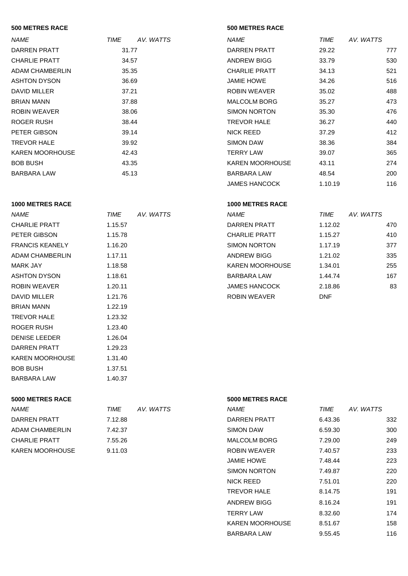### **500 METRES RACE 500 METRES RACE**

| <b>NAME</b>            | TIME<br>AV. WATTS | <b>NAME</b>            | TIME  | AV. WATTS |
|------------------------|-------------------|------------------------|-------|-----------|
| DARREN PRATT           | 31.77             | <b>DARREN PRATT</b>    | 29.22 | 777       |
| <b>CHARLIE PRATT</b>   | 34.57             | <b>ANDREW BIGG</b>     | 33.79 | 530       |
| ADAM CHAMBERLIN        | 35.35             | <b>CHARLIE PRATT</b>   | 34.13 | 521       |
| <b>ASHTON DYSON</b>    | 36.69             | <b>JAMIE HOWE</b>      | 34.26 | 516       |
| DAVID MILLER           | 37.21             | ROBIN WEAVER           | 35.02 | 488       |
| <b>BRIAN MANN</b>      | 37.88             | <b>MALCOLM BORG</b>    | 35.27 | 473       |
| <b>ROBIN WEAVER</b>    | 38.06             | <b>SIMON NORTON</b>    | 35.30 | 476       |
| ROGER RUSH             | 38.44             | TREVOR HALE            | 36.27 | 440       |
| PETER GIBSON           | 39.14             | <b>NICK REED</b>       | 37.29 | 412       |
| <b>TREVOR HALE</b>     | 39.92             | <b>SIMON DAW</b>       | 38.36 | 384       |
| <b>KAREN MOORHOUSE</b> | 42.43             | TERRY LAW              | 39.07 | 365       |
| <b>BOB BUSH</b>        | 43.35             | <b>KAREN MOORHOUSE</b> | 43.11 | 274       |
| <b>BARBARA LAW</b>     | 45.13             | <b>BARBARA LAW</b>     | 48.54 | 200       |

### **1000 METRES RACE 1000 METRES RACE**

| <b>NAME</b>            | AV. WATTS<br>TIME | <b>NAME</b>            | TIMI       |
|------------------------|-------------------|------------------------|------------|
| <b>CHARLIE PRATT</b>   | 1.15.57           | DARREN PRATT           | 1.12       |
| PETER GIBSON           | 1.15.78           | <b>CHARLIE PRATT</b>   | 1.15       |
| <b>FRANCIS KEANELY</b> | 1.16.20           | SIMON NORTON           | 1.17       |
| ADAM CHAMBERLIN        | 1.17.11           | <b>ANDREW BIGG</b>     | 1.21       |
| <b>MARK JAY</b>        | 1.18.58           | <b>KAREN MOORHOUSE</b> | 1.34       |
| <b>ASHTON DYSON</b>    | 1.18.61           | <b>BARBARA LAW</b>     | 1.44       |
| <b>ROBIN WEAVER</b>    | 1.20.11           | <b>JAMES HANCOCK</b>   | 2.18       |
| DAVID MILLER           | 1.21.76           | <b>ROBIN WEAVER</b>    | <b>DNF</b> |
| <b>BRIAN MANN</b>      | 1.22.19           |                        |            |
| <b>TREVOR HALE</b>     | 1.23.32           |                        |            |
| ROGER RUSH             | 1.23.40           |                        |            |
| <b>DENISE LEEDER</b>   | 1.26.04           |                        |            |
| DARREN PRATT           | 1.29.23           |                        |            |
| <b>KAREN MOORHOUSE</b> | 1.31.40           |                        |            |
| <b>BOB BUSH</b>        | 1.37.51           |                        |            |
| <b>BARBARA LAW</b>     | 1.40.37           |                        |            |

| NAME                   | TIME<br>AV. WATTS | <b>NAME</b>            | <b>TIME</b> | AV. WATTS |
|------------------------|-------------------|------------------------|-------------|-----------|
| CHARLIE PRATT          | 1.15.57           | DARREN PRATT           | 1.12.02     | 470       |
| PETER GIBSON           | 1.15.78           | <b>CHARLIE PRATT</b>   | 1.15.27     | 410       |
| <b>FRANCIS KEANELY</b> | 1.16.20           | SIMON NORTON           | 1.17.19     | 377       |
| ADAM CHAMBERLIN        | 1.17.11           | ANDREW BIGG            | 1.21.02     | 335       |
| <b>MARK JAY</b>        | 1.18.58           | <b>KAREN MOORHOUSE</b> | 1.34.01     | 255       |
| ASHTON DYSON           | 1.18.61           | <b>BARBARA LAW</b>     | 1.44.74     | 167       |
| ROBIN WEAVER           | 1.20.11           | <b>JAMES HANCOCK</b>   | 2.18.86     | 83        |
| DAVID MILLER           | 1.21.76           | <b>ROBIN WEAVER</b>    | <b>DNF</b>  |           |

JAMES HANCOCK 1.10.19 116

### **5000 METRES RACE 5000 METRES RACE**

| <b>NAME</b>     | TIME    | AV. WATTS | <i>NAME</i>  | TIME    | AV. WATTS |
|-----------------|---------|-----------|--------------|---------|-----------|
| DARREN PRATT    | 7.12.88 |           | DARREN PRATT | 6.43.36 |           |
| ADAM CHAMBERLIN | 7.42.37 |           | SIMON DAW    | 6.59.30 |           |
| CHARLIE PRATT   | 7.55.26 |           | MALCOLM BORG | 7.29.00 |           |
| KAREN MOORHOUSE | 9.11.03 |           | ROBIN WEAVER | 7.40.57 |           |

| <i>NAME</i>     | <b>TIME</b> | AV. WATTS | <b>NAME</b>            | TIME    | AV. WATTS |
|-----------------|-------------|-----------|------------------------|---------|-----------|
| DARREN PRATT    | 7.12.88     |           | DARREN PRATT           | 6.43.36 | 332       |
| ADAM CHAMBERLIN | 7.42.37     |           | <b>SIMON DAW</b>       | 6.59.30 | 300       |
| CHARLIE PRATT   | 7.55.26     |           | <b>MALCOLM BORG</b>    | 7.29.00 | 249       |
| KAREN MOORHOUSE | 9.11.03     |           | <b>ROBIN WEAVER</b>    | 7.40.57 | 233       |
|                 |             |           | <b>JAMIE HOWE</b>      | 7.48.44 | 223       |
|                 |             |           | <b>SIMON NORTON</b>    | 7.49.87 | 220       |
|                 |             |           | NICK REED              | 7.51.01 | 220       |
|                 |             |           | <b>TREVOR HALE</b>     | 8.14.75 | 191       |
|                 |             |           | <b>ANDREW BIGG</b>     | 8.16.24 | 191       |
|                 |             |           | <b>TERRY LAW</b>       | 8.32.60 | 174       |
|                 |             |           | <b>KAREN MOORHOUSE</b> | 8.51.67 | 158       |
|                 |             |           | <b>BARBARA LAW</b>     | 9.55.45 | 116       |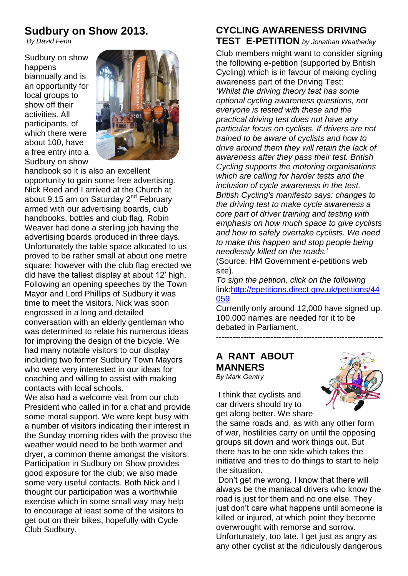## **Sudbury on Show 2013.**

*By David Fenn*

Sudbury on show happens biannually and is an opportunity for local groups to show off their activities. All participants, of which there were about 100, have a free entry into a Sudbury on show



handbook so it is also an excellent opportunity to gain some free advertising. Nick Reed and I arrived at the Church at about 9.15 am on Saturday 2<sup>nd</sup> February armed with our advertising boards, club handbooks, bottles and club flag. Robin Weaver had done a sterling job having the advertising boards produced in three days. Unfortunately the table space allocated to us proved to be rather small at about one metre square; however with the club flag erected we did have the tallest display at about 12' high. Following an opening speeches by the Town Mayor and Lord Phillips of Sudbury it was time to meet the visitors. Nick was soon engrossed in a long and detailed conversation with an elderly gentleman who was determined to relate his numerous ideas for improving the design of the bicycle. We had many notable visitors to our display including two former Sudbury Town Mayors who were very interested in our ideas for coaching and willing to assist with making contacts with local schools.

We also had a welcome visit from our club President who called in for a chat and provide some moral support. We were kept busy with a number of visitors indicating their interest in the Sunday morning rides with the proviso the weather would need to be both warmer and dryer, a common theme amongst the visitors. Participation in Sudbury on Show provides good exposure for the club; we also made some very useful contacts. Both Nick and I thought our participation was a worthwhile exercise which in some small way may help to encourage at least some of the visitors to get out on their bikes, hopefully with Cycle Club Sudbury.

## **CYCLING AWARENESS DRIVING TEST E-PETITION** *by Jonathan Weatherley*

Club members might want to consider signing the following e-petition (supported by British Cycling) which is in favour of making cycling awareness part of the Driving Test: *'Whilst the driving theory test has some optional cycling awareness questions, not everyone is tested with these and the practical driving test does not have any particular focus on cyclists. If drivers are not trained to be aware of cyclists and how to drive around them they will retain the lack of awareness after they pass their test. British Cycling supports the motoring organisations which are calling for harder tests and the inclusion of cycle awareness in the test. British Cycling's manifesto says: changes to the driving test to make cycle awareness a core part of driver training and testing with emphasis on how much space to give cyclists and how to safely overtake cyclists. We need to make this happen and stop people being needlessly killed on the roads.*'

(Source: HM Government e-petitions web site).

*To sign the petition, click on the following* link[:http://epetitions.direct.gov.uk/petitions/44](http://epetitions.direct.gov.uk/petitions/44059) [059](http://epetitions.direct.gov.uk/petitions/44059)

Currently only around 12,000 have signed up. 100,000 names are needed for it to be debated in Parliament.

**-------------------------------------------------------------**

## **A RANT ABOUT MANNERS**  *By Mark Gentry*

I think that cyclists and car drivers should try to get along better. We share

the same roads and, as with any other form of war, hostilities carry on until the opposing groups sit down and work things out. But there has to be one side which takes the initiative and tries to do things to start to help the situation.

Don't get me wrong. I know that there will always be the maniacal drivers who know the road is just for them and no one else. They just don't care what happens until someone is killed or injured, at which point they become overwrought with remorse and sorrow. Unfortunately, too late. I get just as angry as any other cyclist at the ridiculously dangerous

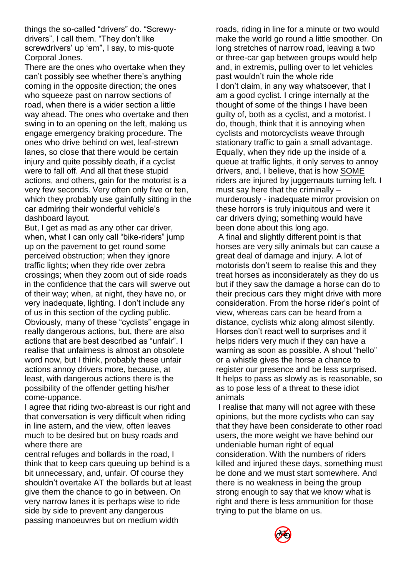things the so-called "drivers" do. "Screwydrivers", I call them. "They don't like screwdrivers' up 'em", I say, to mis-quote Corporal Jones.

There are the ones who overtake when they can't possibly see whether there's anything coming in the opposite direction; the ones who squeeze past on narrow sections of road, when there is a wider section a little way ahead. The ones who overtake and then swing in to an opening on the left, making us engage emergency braking procedure. The ones who drive behind on wet, leaf-strewn lanes, so close that there would be certain injury and quite possibly death, if a cyclist were to fall off. And all that these stupid actions, and others, gain for the motorist is a very few seconds. Very often only five or ten, which they probably use gainfully sitting in the car admiring their wonderful vehicle's dashboard layout.

But, I get as mad as any other car driver, when, what I can only call "bike-riders" jump up on the pavement to get round some perceived obstruction; when they ignore traffic lights; when they ride over zebra crossings; when they zoom out of side roads in the confidence that the cars will swerve out of their way; when, at night, they have no, or very inadequate, lighting. I don't include any of us in this section of the cycling public. Obviously, many of these "cyclists" engage in really dangerous actions, but, there are also actions that are best described as "unfair". I realise that unfairness is almost an obsolete word now, but I think, probably these unfair actions annoy drivers more, because, at least, with dangerous actions there is the possibility of the offender getting his/her come-uppance.

I agree that riding two-abreast is our right and that conversation is very difficult when riding in line astern, and the view, often leaves much to be desired but on busy roads and where there are

central refuges and bollards in the road, I think that to keep cars queuing up behind is a bit unnecessary, and, unfair. Of course they shouldn't overtake AT the bollards but at least give them the chance to go in between. On very narrow lanes it is perhaps wise to ride side by side to prevent any dangerous passing manoeuvres but on medium width

roads, riding in line for a minute or two would make the world go round a little smoother. On long stretches of narrow road, leaving a two or three-car gap between groups would help and, in extremis, pulling over to let vehicles past wouldn't ruin the whole ride I don't claim, in any way whatsoever, that I am a good cyclist. I cringe internally at the thought of some of the things I have been guilty of, both as a cyclist, and a motorist. I do, though, think that it is annoying when cyclists and motorcyclists weave through stationary traffic to gain a small advantage. Equally, when they ride up the inside of a queue at traffic lights, it only serves to annoy drivers, and, I believe, that is how SOME riders are injured by juggernauts turning left. I must say here that the criminally – murderously - inadequate mirror provision on these horrors is truly iniquitous and were it car drivers dying; something would have been done about this long ago.

A final and slightly different point is that horses are very silly animals but can cause a great deal of damage and injury. A lot of motorists don't seem to realise this and they treat horses as inconsiderately as they do us but if they saw the damage a horse can do to their precious cars they might drive with more consideration. From the horse rider's point of view, whereas cars can be heard from a distance, cyclists whiz along almost silently. Horses don't react well to surprises and it helps riders very much if they can have a warning as soon as possible. A shout "hello" or a whistle gives the horse a chance to register our presence and be less surprised. It helps to pass as slowly as is reasonable, so as to pose less of a threat to these idiot animals

I realise that many will not agree with these opinions, but the more cyclists who can say that they have been considerate to other road users, the more weight we have behind our undeniable human right of equal consideration. With the numbers of riders killed and injured these days, something must be done and we must start somewhere. And there is no weakness in being the group strong enough to say that we know what is right and there is less ammunition for those trying to put the blame on us.

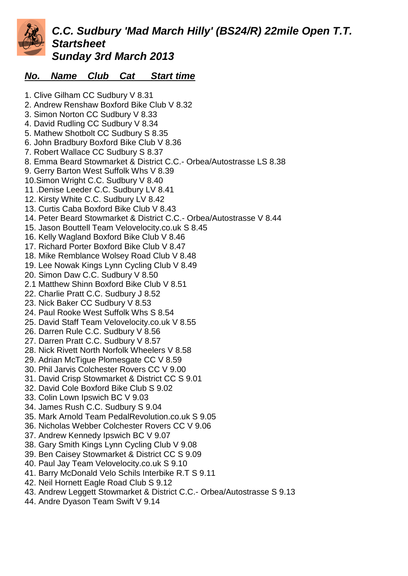## *C.C. Sudbury 'Mad March Hilly' (BS24/R) 22mile Open T.T. Startsheet Sunday 3rd March 2013*

## *No. Name Club Cat Start time*

- 1. Clive Gilham CC Sudbury V 8.31
- 2. Andrew Renshaw Boxford Bike Club V 8.32
- 3. Simon Norton CC Sudbury V 8.33
- 4. David Rudling CC Sudbury V 8.34
- 5. Mathew Shotbolt CC Sudbury S 8.35
- 6. John Bradbury Boxford Bike Club V 8.36
- 7. Robert Wallace CC Sudbury S 8.37
- 8. Emma Beard Stowmarket & District C.C.- Orbea/Autostrasse LS 8.38
- 9. Gerry Barton West Suffolk Whs V 8.39
- 10.Simon Wright C.C. Sudbury V 8.40
- 11 .Denise Leeder C.C. Sudbury LV 8.41
- 12. Kirsty White C.C. Sudbury LV 8.42
- 13. Curtis Caba Boxford Bike Club V 8.43
- 14. Peter Beard Stowmarket & District C.C.- Orbea/Autostrasse V 8.44
- 15. Jason Bouttell Team Velovelocity.co.uk S 8.45
- 16. Kelly Wagland Boxford Bike Club V 8.46
- 17. Richard Porter Boxford Bike Club V 8.47
- 18. Mike Remblance Wolsey Road Club V 8.48
- 19. Lee Nowak Kings Lynn Cycling Club V 8.49
- 20. Simon Daw C.C. Sudbury V 8.50
- 2.1 Matthew Shinn Boxford Bike Club V 8.51
- 22. Charlie Pratt C.C. Sudbury J 8.52
- 23. Nick Baker CC Sudbury V 8.53
- 24. Paul Rooke West Suffolk Whs S 8.54
- 25. David Staff Team Velovelocity.co.uk V 8.55
- 26. Darren Rule C.C. Sudbury V 8.56
- 27. Darren Pratt C.C. Sudbury V 8.57
- 28. Nick Rivett North Norfolk Wheelers V 8.58
- 29. Adrian McTigue Plomesgate CC V 8.59
- 30. Phil Jarvis Colchester Rovers CC V 9.00
- 31. David Crisp Stowmarket & District CC S 9.01
- 32. David Cole Boxford Bike Club S 9.02
- 33. Colin Lown Ipswich BC V 9.03
- 34. James Rush C.C. Sudbury S 9.04
- 35. Mark Arnold Team PedalRevolution.co.uk S 9.05
- 36. Nicholas Webber Colchester Rovers CC V 9.06
- 37. Andrew Kennedy Ipswich BC V 9.07
- 38. Gary Smith Kings Lynn Cycling Club V 9.08
- 39. Ben Caisey Stowmarket & District CC S 9.09
- 40. Paul Jay Team Velovelocity.co.uk S 9.10
- 41. Barry McDonald Velo Schils Interbike R.T S 9.11
- 42. Neil Hornett Eagle Road Club S 9.12
- 43. Andrew Leggett Stowmarket & District C.C.- Orbea/Autostrasse S 9.13
- 44. Andre Dyason Team Swift V 9.14